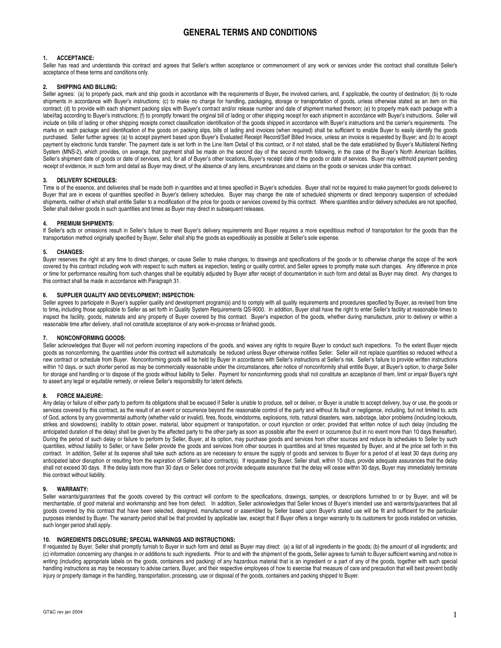# **1. ACCEPTANCE:**

Seller has read and understands this contract and agrees that Seller's written acceptance or commencement of any work or services under this contract shall constitute Seller's acceptance of these terms and conditions only.

## **2. SHIPPING AND BILLING:**

Seller agrees: (a) to properly pack, mark and ship goods in accordance with the requirements of Buyer, the involved carriers, and, if applicable, the country of destination; (b) to route shipments in accordance with Buyer's instructions; (c) to make no charge for handling, packaging, storage or transportation of goods, unless otherwise stated as an item on this contract; (d) to provide with each shipment packing slips with Buyer's contract and/or release number and date of shipment marked thereon; (e) to properly mark each package with a label/tag according to Buyer's instructions; (f) to promptly forward the original bill of lading or other shipping receipt for each shipment in accordance with Buyer's instructions. Seller will include on bills of lading or other shipping receipts correct classification identification of the goods shipped in accordance with Buyer's instructions and the carrier's requirements. The marks on each package and identification of the goods on packing slips, bills of lading and invoices (when required) shall be sufficient to enable Buyer to easily identify the goods purchased. Seller further agrees: (a) to accept payment based upon Buyer's Evaluated Receipt Record/Self Billed Invoice, unless an invoice is requested by Buyer; and (b) to accept payment by electronic funds transfer. The payment date is set forth in the Line Item Detail of this contract, or if not stated, shall be the date established by Buyer's Multilateral Netting System (MNS-2), which provides, on average, that payment shall be made on the second day of the second month following, in the case of the Buyer's North American facilities, Seller's shipment date of goods or date of services, and, for all of Buyer's other locations, Buyer's receipt date of the goods or date of services. Buyer may withhold payment pending receipt of evidence, in such form and detail as Buyer may direct, of the absence of any liens, encumbrances and claims on the goods or services under this contract.

# **3. DELIVERY SCHEDULES:**

Time is of the essence, and deliveries shall be made both in quantities and at times specified in Buyer's schedules. Buyer shall not be required to make payment for goods delivered to Buyer that are in excess of quantities specified in Buyer's delivery schedules. Buyer may change the rate of scheduled shipments or direct temporary suspension of scheduled shipments, neither of which shall entitle Seller to a modification of the price for goods or services covered by this contract. Where quantities and/or delivery schedules are not specified, Seller shall deliver goods in such quantities and times as Buyer may direct in subsequent releases.

### **4. PREMIUM SHIPMENTS:**

If Seller's acts or omissions result in Seller's failure to meet Buyer's delivery requirements and Buyer requires a more expeditious method of transportation for the goods than the transportation method originally specified by Buyer, Seller shall ship the goods as expeditiously as possible at Seller's sole expense.

### **5. CHANGES:**

Buyer reserves the right at any time to direct changes, or cause Seller to make changes, to drawings and specifications of the goods or to otherwise change the scope of the work covered by this contract including work with respect to such matters as inspection, testing or quality control, and Seller agrees to promptly make such changes. Any difference in price or time for performance resulting from such changes shall be equitably adjusted by Buyer after receipt of documentation in such form and detail as Buyer may direct. Any changes to this contract shall be made in accordance with Paragraph 31.

## **6. SUPPLIER QUALITY AND DEVELOPMENT; INSPECTION:**

Seller agrees to participate in Buyer's supplier quality and development program(s) and to comply with all quality requirements and procedures specified by Buyer, as revised from time to time*,* including those applicable to Seller as set forth in Quality System Requirements QS-9000. In addition, Buyer shall have the right to enter Seller's facility at reasonable times to inspect the facility, goods, materials and any property of Buyer covered by this contract. Buyer's inspection of the goods, whether during manufacture, prior to delivery or within a reasonable time after delivery, shall not constitute acceptance of any work-in-process or finished goods.

# **7. NONCONFORMING GOODS:**

Seller acknowledges that Buyer will not perform incoming inspections of the goods, and waives any rights to require Buyer to conduct such inspections. To the extent Buyer rejects goods as nonconforming, the quantities under this contract will automatically be reduced unless Buyer otherwise notifies Seller. Seller will not replace quantities so reduced without a new contract or schedule from Buyer. Nonconforming goods will be held by Buyer in accordance with Seller's instructions at Seller's risk. Seller's failure to provide written instructions within 10 days, or such shorter period as may be commercially reasonable under the circumstances, after notice of nonconformity shall entitle Buyer, at Buyer's option, to charge Seller for storage and handling or to dispose of the goods without liability to Seller. Payment for nonconforming goods shall not constitute an acceptance of them, limit or impair Buyer's right to assert any legal or equitable remedy, or relieve Seller's responsibility for latent defects.

### **8. FORCE MAJEURE:**

Any delay or failure of either party to perform its obligations shall be excused if Seller is unable to produce, sell or deliver, or Buyer is unable to accept delivery, buy or use, the goods or services covered by this contract, as the result of an event or occurrence beyond the reasonable control of the party and without its fault or negligence, including, but not limited to, acts of God, actions by any governmental authority (whether valid or invalid), fires, floods, windstorms, explosions, riots, natural disasters, wars, sabotage, labor problems (including lockouts, strikes and slowdowns), inability to obtain power, material, labor equipment or transportation, or court injunction or order; provided that written notice of such delay (including the anticipated duration of the delay) shall be given by the affected party to the other party as soon as possible after the event or occurrence (but in no event more than 10 days thereafter). During the period of such delay or failure to perform by Seller, Buyer, at its option, may purchase goods and services from other sources and reduce its schedules to Seller by such quantities, without liability to Seller, or have Seller provide the goods and services from other sources in quantities and at times requested by Buyer, and at the price set forth in this contract. In addition, Seller at its expense shall take such actions as are necessary to ensure the supply of goods and services to Buyer for a period of at least 30 days during any anticipated labor disruption or resulting from the expiration of Seller's labor contract(s). If requested by Buyer, Seller shall, within 10 days, provide adequate assurances that the delay shall not exceed 30 days. If the delay lasts more than 30 days or Seller does not provide adequate assurance that the delay will cease within 30 days, Buyer may immediately terminate this contract without liability.

### **9. WARRANTY:**

Seller warrants/guarantees that the goods covered by this contract will conform to the specifications, drawings, samples, or descriptions furnished to or by Buyer, and will be merchantable, of good material and workmanship and free from defect. In addition, Seller acknowledges that Seller knows of Buyer's intended use and warrants/guarantees that all goods covered by this contract that have been selected, designed, manufactured or assembled by Seller based upon Buyer's stated use will be fit and sufficient for the particular purposes intended by Buyer. The warranty period shall be that provided by applicable law, except that if Buyer offers a longer warranty to its customers for goods installed on vehicles, such longer period shall apply.

# **10. INGREDIENTS DISCLOSURE; SPECIAL WARNINGS AND INSTRUCTIONS:**

If requested by Buyer, Seller shall promptly furnish to Buyer in such form and detail as Buyer may direct: (a) a list of all ingredients in the goods; (b) the amount of all ingredients; and (c) information concerning any changes in or additions to such ingredients. Prior to and with the shipment of the goods*,* Seller agrees to furnish to Buyer sufficient warning and notice in writing (including appropriate labels on the goods, containers and packing) of any hazardous material that is an ingredient or a part of any of the goods, together with such special handling instructions as may be necessary to advise carriers, Buyer, and their respective employees of how to exercise that measure of care and precaution that will best prevent bodily injury or property damage in the handling, transportation, processing, use or disposal of the goods, containers and packing shipped to Buyer.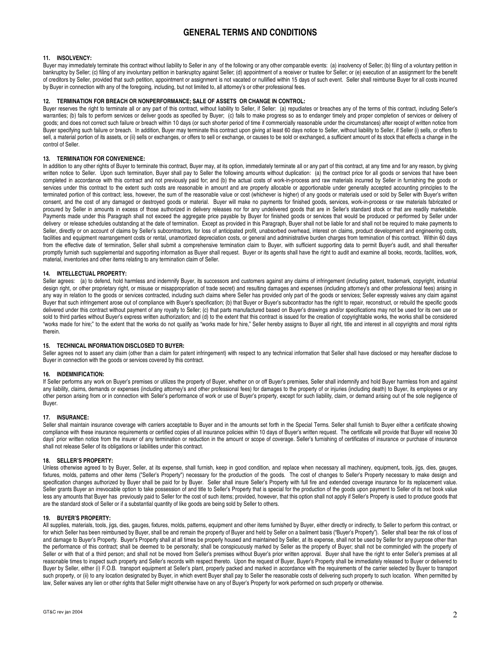# **11. INSOLVENCY:**

Buyer may immediately terminate this contract without liability to Seller in any of the following or any other comparable events: (a) insolvency of Seller; (b) filing of a voluntary petition in bankruptcy by Seller; (c) filing of any involuntary petition in bankruptcy against Seller; (d) appointment of a receiver or trustee for Seller; or (e) execution of an assignment for the benefit of creditors by Seller, provided that such petition, appointment or assignment is not vacated or nullified within 15 days of such event. Seller shall reimburse Buyer for all costs incurred by Buyer in connection with any of the foregoing, including, but not limited to, all attorney's or other professional fees.

### **12. TERMINATION FOR BREACH OR NONPERFORMANCE; SALE OF ASSETS OR CHANGE IN CONTROL:**

Buyer reserves the right to terminate all or any part of this contract, without liability to Seller, if Seller: (a) repudiates or breaches any of the terms of this contract, including Seller's warranties; (b) fails to perform services or deliver goods as specified by Buyer; (c) fails to make progress so as to endanger timely and proper completion of services or delivery of goods; and does not correct such failure or breach within 10 days (or such shorter period of time if commercially reasonable under the circumstances) after receipt of written notice from Buyer specifying such failure or breach. In addition, Buyer may terminate this contract upon giving at least 60 days notice to Seller, without liability to Seller, if Seller (i) sells, or offers to sell, a material portion of its assets, or (ii) sells or exchanges, or offers to sell or exchange, or causes to be sold or exchanged, a sufficient amount of its stock that effects a change in the control of Seller.

## **13. TERMINATION FOR CONVENIENCE:**

In addition to any other rights of Buyer to terminate this contract, Buyer may, at its option, immediately terminate all or any part of this contract, at any time and for any reason, by giving written notice to Seller. Upon such termination, Buyer shall pay to Seller the following amounts without duplication: (a) the contract price for all goods or services that have been completed in accordance with this contract and not previously paid for; and (b) the actual costs of work-in-process and raw materials incurred by Seller in furnishing the goods or services under this contract to the extent such costs are reasonable in amount and are properly allocable or apportionable under generally accepted accounting principles to the terminated portion of this contract; less, however, the sum of the reasonable value or cost (whichever is higher) of any goods or materials used or sold by Seller with Buyer's written consent, and the cost of any damaged or destroyed goods or material. Buyer will make no payments for finished goods, services, work-in-process or raw materials fabricated or procured by Seller in amounts in excess of those authorized in delivery releases nor for any undelivered goods that are in Seller's standard stock or that are readily marketable. Payments made under this Paragraph shall not exceed the aggregate price payable by Buyer for finished goods or services that would be produced or performed by Seller under delivery or release schedules outstanding at the date of termination. Except as provided in this Paragraph, Buyer shall not be liable for and shall not be required to make payments to Seller, directly or on account of claims by Seller's subcontractors, for loss of anticipated profit, unabsorbed overhead, interest on claims, product development and engineering costs, facilities and equipment rearrangement costs or rental, unamortized depreciation costs, or general and administrative burden charges from termination of this contract. Within 60 days from the effective date of termination, Seller shall submit a comprehensive termination claim to Buyer, with sufficient supporting data to permit Buyer's audit, and shall thereafter promptly furnish such supplemental and supporting information as Buyer shall request. Buyer or its agents shall have the right to audit and examine all books, records, facilities, work, material, inventories and other items relating to any termination claim of Seller.

# **14. INTELLECTUAL PROPERTY:**

Seller agrees: (a) to defend, hold harmless and indemnify Buyer, its successors and customers against any claims of infringement (including patent, trademark, copyright, industrial design right, or other proprietary right, or misuse or misappropriation of trade secret) and resulting damages and expenses (including attorney's and other professional fees) arising in any way in relation to the goods or services contracted, including such claims where Seller has provided only part of the goods or services; Seller expressly waives any claim against Buyer that such infringement arose out of compliance with Buyer's specification; (b) that Buyer or Buyer's subcontractor has the right to repair, reconstruct, or rebuild the specific goods delivered under this contract without payment of any royalty to Seller; (c) that parts manufactured based on Buyer's drawings and/or specifications may not be used for its own use or sold to third parties without Buyer's express written authorization; and (d) to the extent that this contract is issued for the creation of copyrightable works, the works shall be considered "works made for hire;" to the extent that the works do not qualify as "works made for hire," Seller hereby assigns to Buyer all right, title and interest in all copyrights and moral rights therein.

### **15. TECHNICAL INFORMATION DISCLOSED TO BUYER:**

Seller agrees not to assert any claim (other than a claim for patent infringement) with respect to any technical information that Seller shall have disclosed or may hereafter disclose to Buyer in connection with the goods or services covered by this contract.

## **16. INDEMNIFICATION:**

If Seller performs any work on Buyer's premises or utilizes the property of Buyer, whether on or off Buyer's premises, Seller shall indemnify and hold Buyer harmless from and against any liability, claims, demands or expenses (including attorney's and other professional fees) for damages to the property of or injuries (including death) to Buyer, its employees or any other person arising from or in connection with Seller's performance of work or use of Buyer's property, except for such liability, claim, or demand arising out of the sole negligence of Buyer.

#### **17. INSURANCE:**

Seller shall maintain insurance coverage with carriers acceptable to Buyer and in the amounts set forth in the Special Terms. Seller shall furnish to Buyer either a certificate showing compliance with these insurance requirements or certified copies of all insurance policies within 10 days of Buyer's written request. The certificate will provide that Buyer will receive 30 days' prior written notice from the insurer of any termination or reduction in the amount or scope of coverage. Seller's furnishing of certificates of insurance or purchase of insurance shall not release Seller of its obligations or liabilities under this contract.

### **18. SELLER'S PROPERTY:**

Unless otherwise agreed to by Buyer, Seller, at its expense, shall furnish, keep in good condition, and replace when necessary all machinery, equipment*,* tools, jigs, dies, gauges, fixtures, molds, patterns and other items ("Seller's Property") necessary for the production of the goods. The cost of changes to Seller's Property necessary to make design and specification changes authorized by Buyer shall be paid for by Buyer. Seller shall insure Seller's Property with full fire and extended coverage insurance for its replacement value. Seller grants Buyer an irrevocable option to take possession of and title to Seller's Property that is special for the production of the goods upon payment to Seller of its net book value less any amounts that Buyer has previously paid to Seller for the cost of such items; provided, however, that this option shall not apply if Seller's Property is used to produce goods that are the standard stock of Seller or if a substantial quantity of like goods are being sold by Seller to others.

### **19. BUYER'S PROPERTY:**

All supplies, materials, tools, jigs, dies, gauges, fixtures, molds, patterns, equipment and other items furnished by Buyer, either directly or indirectly, to Seller to perform this contract, or for which Seller has been reimbursed by Buyer, shall be and remain the property of Buyer and held by Seller on a bailment basis ("Buyer's Property"). Seller shall bear the risk of loss of and damage to Buyer's Property. Buyer's Property shall at all times be properly housed and maintained by Seller, at its expense, shall not be used by Seller for any purpose other than the performance of this contract; shall be deemed to be personalty; shall be conspicuously marked by Seller as the property of Buyer; shall not be commingled with the property of Seller or with that of a third person; and shall not be moved from Seller's premises without Buyer's prior written approval. Buyer shall have the right to enter Seller's premises at all reasonable times to inspect such property and Seller's records with respect thereto. Upon the request of Buyer, Buyer's Property shall be immediately released to Buyer or delivered to Buyer by Seller, either (i) F.O.B. transport equipment at Seller's plant, properly packed and marked in accordance with the requirements of the carrier selected by Buyer to transport such property, or (ii) to any location designated by Buyer, in which event Buyer shall pay to Seller the reasonable costs of delivering such property to such location. When permitted by law, Seller waives any lien or other rights that Seller might otherwise have on any of Buyer's Property for work performed on such property or otherwise.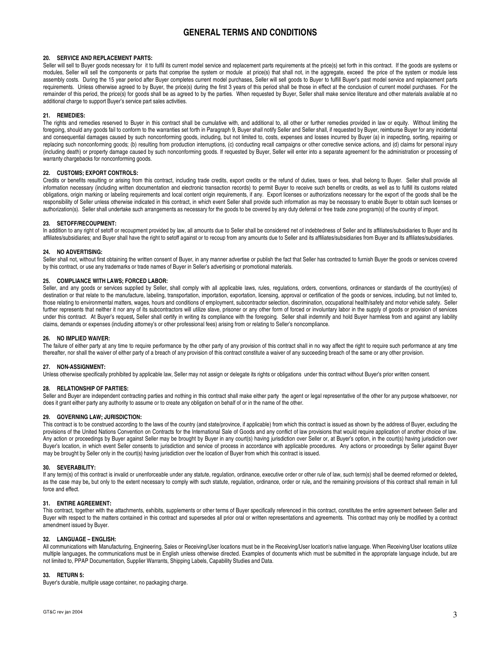## **20. SERVICE AND REPLACEMENT PARTS:**

Seller will sell to Buyer goods necessary for it to fulfil its current model service and replacement parts requirements at the price(s) set forth in this contract. If the goods are systems or modules, Seller will sell the components or parts that comprise the system or module at price(s) that shall not, in the aggregate, exceed the price of the system or module less assembly costs. During the 15 year period after Buyer completes current model purchases, Seller will sell goods to Buyer to fulfill Buyer's past model service and replacement parts requirements. Unless otherwise agreed to by Buyer, the price(s) during the first 3 years of this period shall be those in effect at the conclusion of current model purchases. For the remainder of this period, the price(s) for goods shall be as agreed to by the parties. When requested by Buyer, Seller shall make service literature and other materials available at no additional charge to support Buyer's service part sales activities.

# **21. REMEDIES:**

The rights and remedies reserved to Buyer in this contract shall be cumulative with, and additional to, all other or further remedies provided in law or equity. Without limiting the foregoing, should any goods fail to conform to the warranties set forth in Paragraph 9. Buyer shall notify Seller and Seller shall, if requested by Buyer, reimburse Buyer for any incidental and consequential damages caused by such nonconforming goods, including, but not limited to, costs, expenses and losses incurred by Buyer (a) in inspecting*,* sorting, repairing or replacing such nonconforming goods; (b) resulting from production interruptions, (c) conducting recall campaigns or other corrective service actions, and (d) claims for personal injury (including death) or property damage caused by such nonconforming goods. If requested by Buyer, Seller will enter into a separate agreement for the administration or processing of warranty chargebacks for nonconforming goods.

### **22. CUSTOMS; EXPORT CONTROLS:**

Credits or benefits resulting or arising from this contract, including trade credits, export credits or the refund of duties, taxes or fees, shall belong to Buyer. Seller shall provide all information necessary (including written documentation and electronic transaction records) to permit Buyer to receive such benefits or credits, as well as to fulfill its customs related obligations, origin marking or labeling requirements and local content origin requirements, if any. Export licenses or authorizations necessary for the export of the goods shall be the responsibility of Seller unless otherwise indicated in this contract, in which event Seller shall provide such information as may be necessary to enable Buyer to obtain such licenses or authorization(s). Seller shall undertake such arrangements as necessary for the goods to be covered by any duty deferral or free trade zone program(s) of the country of import.

### **23. SETOFF/RECOUPMENT:**

In addition to any right of setoff or recoupment provided by law, all amounts due to Seller shall be considered net of indebtedness of Seller and its affiliates/subsidiaries to Buyer and its affiliates/subsidiaries; and Buyer shall have the right to setoff against or to recoup from any amounts due to Seller and its affiliates/subsidiaries from Buyer and its affiliates/subsidiaries.

# **24. NO ADVERTISING:**

Seller shall not, without first obtaining the written consent of Buyer, in any manner advertise or publish the fact that Seller has contracted to furnish Buyer the goods or services covered by this contract, or use any trademarks or trade names of Buyer in Seller's advertising or promotional materials.

### **25. COMPLIANCE WITH LAWS; FORCED LABOR:**

Seller, and any goods or services supplied by Seller, shall comply with all applicable laws, rules, regulations, orders, conventions, ordinances or standards of the country(ies) of destination or that relate to the manufacture, labeling, transportation, importation, exportation, licensing, approval or certification of the goods or services, including, but not limited to, those relating to environmental matters, wages, hours and conditions of employment, subcontractor selection, discrimination, occupational health/safety and motor vehicle safety. Seller further represents that neither it nor any of its subcontractors will utilize slave, prisoner or any other form of forced or involuntary labor in the supply of goods or provision of services under this contract. At Buyer's request*,* Seller shall certify in writing its compliance with the foregoing. Seller shall indemnify and hold Buyer harmless from and against any liability claims, demands or expenses (including attorney's or other professional fees) arising from or relating to Seller's noncompliance.

# **26. NO IMPLIED WAIVER:**

The failure of either party at any time to require performance by the other party of any provision of this contract shall in no way affect the right to require such performance at any time thereafter, nor shall the waiver of either party of a breach of any provision of this contract constitute a waiver of any succeeding breach of the same or any other provision.

### **27. NON-ASSIGNMENT:**

Unless otherwise specifically prohibited by applicable law, Seller may not assign or delegate its rights or obligations under this contract without Buyer's prior written consent.

### **28. RELATIONSHIP OF PARTIES:**

Seller and Buyer are independent contracting parties and nothing in this contract shall make either party the agent or legal representative of the other for any purpose whatsoever, nor does it grant either party any authority to assume or to create any obligation on behalf of or in the name of the other.

# **29. GOVERNING LAW; JURISDICTION:**

This contract is to be construed according to the laws of the country (and state/province, if applicable) from which this contract is issued as shown by the address of Buyer, excluding the provisions of the United Nations Convention on Contracts for the International Sale of Goods and any conflict of law provisions that would require application of another choice of law. Any action or proceedings by Buyer against Seller may be brought by Buyer in any court(s) having jurisdiction over Seller or, at Buyer's option, in the court(s) having jurisdiction over Buyer's location, in which event Seller consents to jurisdiction and service of process in accordance with applicable procedures. Any actions or proceedings by Seller against Buyer may be brought by Seller only in the court(s) having jurisdiction over the location of Buyer from which this contract is issued.

## **30. SEVERABILITY:**

If any term(s) of this contract is invalid or unenforceable under any statute, regulation, ordinance, executive order or other rule of law, such term(s) shall be deemed reformed or deleted*,* as the case may be, but only to the extent necessary to comply with such statute, regulation, ordinance, order or rule, and the remaining provisions of this contract shall remain in full force and effect.

# **31. ENTIRE AGREEMENT:**

This contract, together with the attachments, exhibits, supplements or other terms of Buyer specifically referenced in this contract, constitutes the entire agreement between Seller and Buyer with respect to the matters contained in this contract and supersedes all prior oral or written representations and agreements. This contract may only be modified by a contract amendment issued by Buyer.

# **32. LANGUAGE – ENGLISH:**

All communications with Manufacturing, Engineering, Sales or Receiving/User locations must be in the Receiving/User location's native language. When Receiving/User locations utilize multiple languages, the communications must be in English unless otherwise directed. Examples of documents which must be submitted in the appropriate language include, but are not limited to, PPAP Documentation, Supplier Warrants, Shipping Labels, Capability Studies and Data.

# **33. RETURN 5:**

Buyer's durable, multiple usage container, no packaging charge.